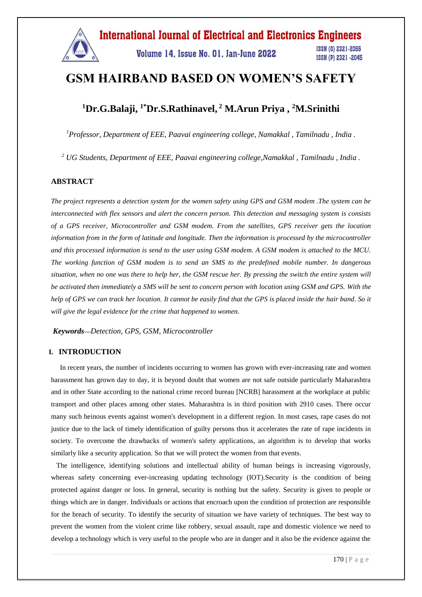

# **GSM HAIRBAND BASED ON WOMEN'S SAFETY**

### **<sup>1</sup>Dr.G.Balaji, 1\*Dr.S.Rathinavel, <sup>2</sup> M.Arun Priya , <sup>2</sup>M.Srinithi**

*<sup>1</sup>Professor, Department of EEE, Paavai engineering college, Namakkal , Tamilnadu , India .*

*<sup>2</sup> UG Students, Department of EEE, Paavai engineering college,Namakkal , Tamilnadu , India .*

#### **ABSTRACT**

*The project represents a detection system for the women safety using GPS and GSM modem .The system can be interconnected with flex sensors and alert the concern person. This detection and messaging system is consists of a GPS receiver, Microcontroller and GSM modem. From the satellites, GPS receiver gets the location information from in the form of latitude and longitude. Then the information is processed by the microcontroller and this processed information is send to the user using GSM modem. A GSM modem is attached to the MCU. The working function of GSM modem is to send an SMS to the predefined mobile number. In dangerous situation, when no one was there to help her, the GSM rescue her. By pressing the switch the entire system will be activated then immediately a SMS will be sent to concern person with location using GSM and GPS. With the help of GPS we can track her location. It cannot be easily find that the GPS is placed inside the hair band. So it will give the legal evidence for the crime that happened to women.*

*Keywords***—***Detection, GPS, GSM, Microcontroller*

#### **I. INTRODUCTION**

 In recent years, the number of incidents occurring to women has grown with ever-increasing rate and women harassment has grown day to day, it is beyond doubt that women are not safe outside particularly Maharashtra and in other State according to the national crime record bureau [NCRB] harassment at the workplace at public transport and other places among other states. Maharashtra is in third position with 2910 cases. There occur many such heinous events against women's development in a different region. In most cases, rape cases do not justice due to the lack of timely identification of guilty persons thus it accelerates the rate of rape incidents in society. To overcome the drawbacks of women's safety applications, an algorithm is to develop that works similarly like a security application. So that we will protect the women from that events.

 The intelligence, identifying solutions and intellectual ability of human beings is increasing vigorously, whereas safety concerning ever-increasing updating technology (IOT).Security is the condition of being protected against danger or loss. In general, security is nothing but the safety. Security is given to people or things which are in danger. Individuals or actions that encroach upon the condition of protection are responsible for the breach of security. To identify the security of situation we have variety of techniques. The best way to prevent the women from the violent crime like robbery, sexual assault, rape and domestic violence we need to develop a technology which is very useful to the people who are in danger and it also be the evidence against the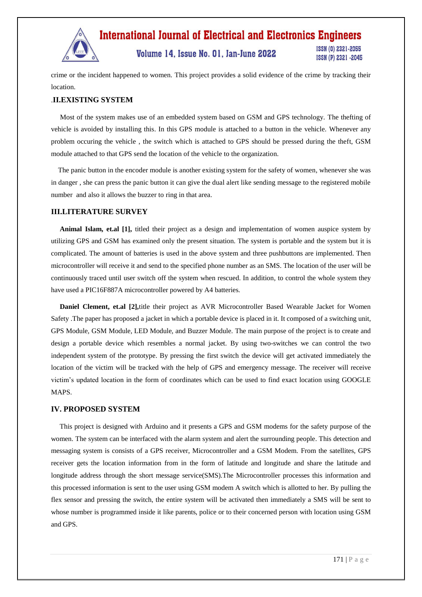

Volume 14, Issue No. 01, Jan-June 2022

ISSN (0) 2321-2055 ISSN (P) 2321 -2045

crime or the incident happened to women. This project provides a solid evidence of the crime by tracking their location.

#### .**II.EXISTING SYSTEM**

 Most of the system makes use of an embedded system based on GSM and GPS technology. The thefting of vehicle is avoided by installing this. In this GPS module is attached to a button in the vehicle. Whenever any problem occuring the vehicle , the switch which is attached to GPS should be pressed during the theft, GSM module attached to that GPS send the location of the vehicle to the organization.

 The panic button in the encoder module is another existing system for the safety of women, whenever she was in danger , she can press the panic button it can give the dual alert like sending message to the registered mobile number and also it allows the buzzer to ring in that area.

#### **III.LITERATURE SURVEY**

 **Animal Islam, et.al [1],** titled their project as a design and implementation of women auspice system by utilizing GPS and GSM has examined only the present situation. The system is portable and the system but it is complicated. The amount of batteries is used in the above system and three pushbuttons are implemented. Then microcontroller will receive it and send to the specified phone number as an SMS. The location of the user will be continuously traced until user switch off the system when rescued. In addition, to control the whole system they have used a PIC16F887A microcontroller powered by A4 batteries.

 **Daniel Clement, et.al [2],**title their project as AVR Microcontroller Based Wearable Jacket for Women Safety .The paper has proposed a jacket in which a portable device is placed in it. It composed of a switching unit, GPS Module, GSM Module, LED Module, and Buzzer Module. The main purpose of the project is to create and design a portable device which resembles a normal jacket. By using two-switches we can control the two independent system of the prototype. By pressing the first switch the device will get activated immediately the location of the victim will be tracked with the help of GPS and emergency message. The receiver will receive victim's updated location in the form of coordinates which can be used to find exact location using GOOGLE MAPS.

#### **IV. PROPOSED SYSTEM**

 This project is designed with Arduino and it presents a GPS and GSM modems for the safety purpose of the women. The system can be interfaced with the alarm system and alert the surrounding people. This detection and messaging system is consists of a GPS receiver, Microcontroller and a GSM Modem. From the satellites, GPS receiver gets the location information from in the form of latitude and longitude and share the latitude and longitude address through the short message service(SMS).The Microcontroller processes this information and this processed information is sent to the user using GSM modem A switch which is allotted to her. By pulling the flex sensor and pressing the switch, the entire system will be activated then immediately a SMS will be sent to whose number is programmed inside it like parents, police or to their concerned person with location using GSM and GPS.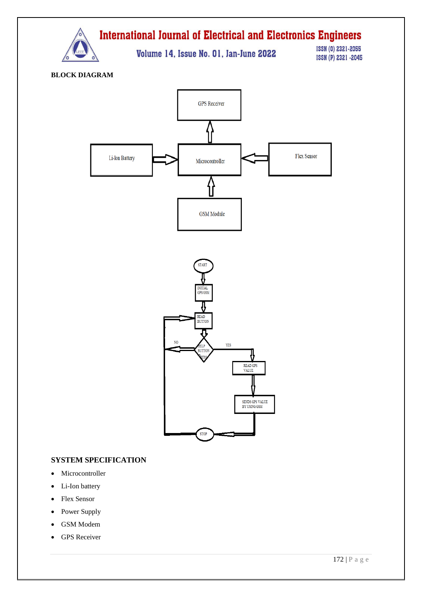

Volume 14, Issue No. 01, Jan-June 2022

**ISSN (0) 2321-2055** ISSN (P) 2321 -2045

**BLOCK DIAGRAM**



#### **SYSTEM SPECIFICATION**

- Microcontroller
- Li-Ion battery
- Flex Sensor
- Power Supply
- GSM Modem
- GPS Receiver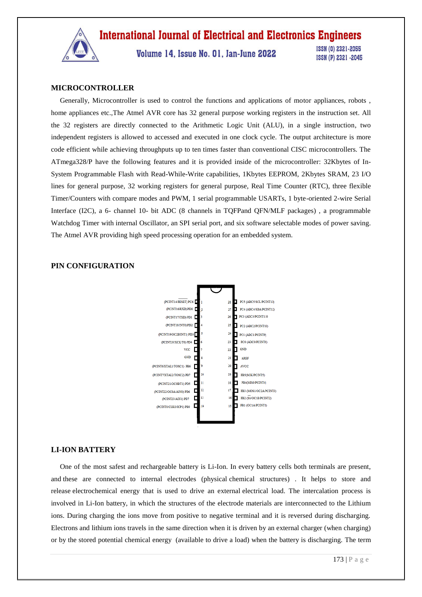

Volume 14. Issue No. 01. Jan-June 2022

ISSN (0) 2321-2055 ISSN (P) 2321 -2045

#### **MICROCONTROLLER**

 Generally, Microcontroller is used to control the functions and applications of motor appliances, robots , home appliances etc.,The Atmel AVR core has 32 general purpose working registers in the instruction set. All the 32 registers are directly connected to the Arithmetic Logic Unit (ALU), in a single instruction, two independent registers is allowed to accessed and executed in one clock cycle. The output architecture is more code efficient while achieving throughputs up to ten times faster than conventional CISC microcontrollers. The ATmega328/P have the following features and it is provided inside of the microcontroller: 32Kbytes of In-System Programmable Flash with Read-While-Write capabilities, 1Kbytes EEPROM, 2Kbytes SRAM, 23 I/O lines for general purpose, 32 working registers for general purpose, Real Time Counter (RTC), three flexible Timer/Counters with compare modes and PWM, 1 serial programmable USARTs, 1 byte-oriented 2-wire Serial Interface (I2C), a 6- channel 10- bit ADC (8 channels in TQFPand QFN/MLF packages) , a programmable Watchdog Timer with internal Oscillator, an SPI serial port, and six software selectable modes of power saving. The Atmel AVR providing high speed processing operation for an embedded system.





#### **LI-ION BATTERY**

 One of the most safest and rechargeable battery is Li-Ion. In every battery cells both terminals are present, and these are connected to internal electrodes (physical chemical structures) . It helps to store and release electrochemical energy that is used to drive an external electrical load. The intercalation process is involved in Li-Ion battery, in which the structures of the electrode materials are interconnected to the Lithium ions. During charging the ions move from positive to negative terminal and it is reversed during discharging. Electrons and lithium ions travels in the same direction when it is driven by an external charger (when charging) or by the stored potential chemical energy (available to drive a load) when the battery is discharging. The term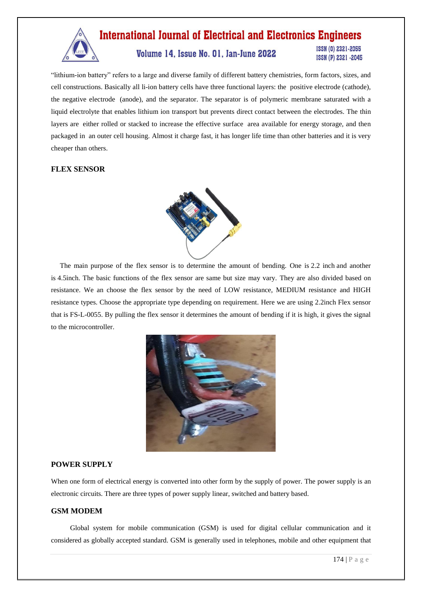

"lithium-ion battery" refers to a large and diverse family of different battery chemistries, form factors, sizes, and cell constructions. Basically all li-ion battery cells have three functional layers: the positive electrode (cathode), the negative electrode (anode), and the separator. The separator is of polymeric membrane saturated with a liquid electrolyte that enables lithium ion transport but prevents direct contact between the electrodes. The thin layers are either rolled or stacked to increase the effective surface area available for energy storage, and then packaged in an outer cell housing. Almost it charge fast, it has longer life time than other batteries and it is very cheaper than others.

#### **FLEX SENSOR**



 The main purpose of the flex sensor is to determine the amount of bending. One is 2.2 inch and another is 4.5inch. The basic functions of the flex sensor are same but size may vary. They are also divided based on resistance. We an choose the flex sensor by the need of LOW resistance, MEDIUM resistance and HIGH resistance types. Choose the appropriate type depending on requirement. Here we are using 2.2inch Flex sensor that is FS-L-0055. By pulling the flex sensor it determines the amount of bending if it is high, it gives the signal to the microcontroller.



#### **POWER SUPPLY**

When one form of electrical energy is converted into other form by the supply of power. The power supply is an electronic circuits. There are three types of power supply linear, switched and battery based.

#### **GSM MODEM**

 Global system for mobile communication (GSM) is used for digital cellular communication and it considered as globally accepted standard. GSM is generally used in telephones, mobile and other equipment that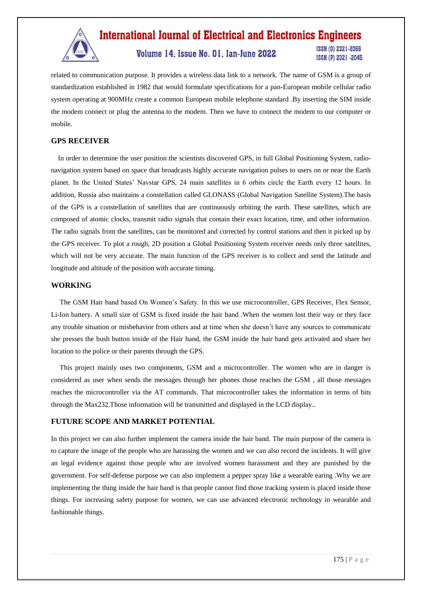

### Volume 14, Issue No. 01, Jan-June 2022

**ISSN (0) 2321-2055** ISSN (P) 2321 -2045

related to communication purpose. It provides a wireless data link to a network. The name of GSM is a group of standardization established in 1982 that would formulate specifications for a pan-European mobile cellular radio system operating at 900MHz create a common European mobile telephone standard .By inserting the SIM inside the modem connect or plug the antenna to the modem. Then we have to connect the modem to our computer or mobile.

#### **GPS RECEIVER**

 In order to determine the user position the scientists discovered GPS, in full Global Positioning System, radionavigation system based on space that broadcasts highly accurate navigation pulses to users on or near the Earth planet. In the United States' Navstar GPS, 24 main satellites in 6 orbits circle the Earth every 12 hours. In addition, Russia also maintains a constellation called GLONASS (Global Navigation Satellite System).The basis of the GPS is a constellation of satellites that are continuously orbiting the earth. These satellites, which are composed of atomic clocks, transmit radio signals that contain their exact location, time, and other information. The radio signals from the satellites, can be monitored and corrected by control stations and then it picked up by the GPS receiver. To plot a rough, 2D position a Global Positioning System receiver needs only three satellites, which will not be very accurate. The main function of the GPS receiver is to collect and send the latitude and longitude and altitude of the position with accurate timing.

#### **WORKING**

 The GSM Hair band based On Women's Safety. In this we use microcontroller, GPS Receiver, Flex Sensor, Li-Ion battery. A small size of GSM is fixed inside the hair band .When the women lost their way or they face any trouble situation or misbehavior from others and at time when she doesn't have any sources to communicate she presses the bush button inside of the Hair band, the GSM inside the hair band gets activated and share her location to the police or their parents through the GPS.

 This project mainly uses two components, GSM and a microcontroller. The women who are in danger is considered as user when sends the messages through her phones those reaches the GSM , all those messages reaches the microcontroller via the AT commands. That microcontroller takes the information in terms of bits through the Max232.Those information will be transmitted and displayed in the LCD display..

#### **FUTURE SCOPE AND MARKET POTENTIAL**

In this project we can also further implement the camera inside the hair band. The main purpose of the camera is to capture the image of the people who are harassing the women and we can also record the incidents. It will give an legal evidence against those people who are involved women harassment and they are punished by the government. For self-defense purpose we can also implement a pepper spray like a wearable earing .Why we are implementing the thing inside the hair band is that people cannot find those tracking system is placed inside those things. For increasing safety purpose for women, we can use advanced electronic technology in wearable and fashionable things.